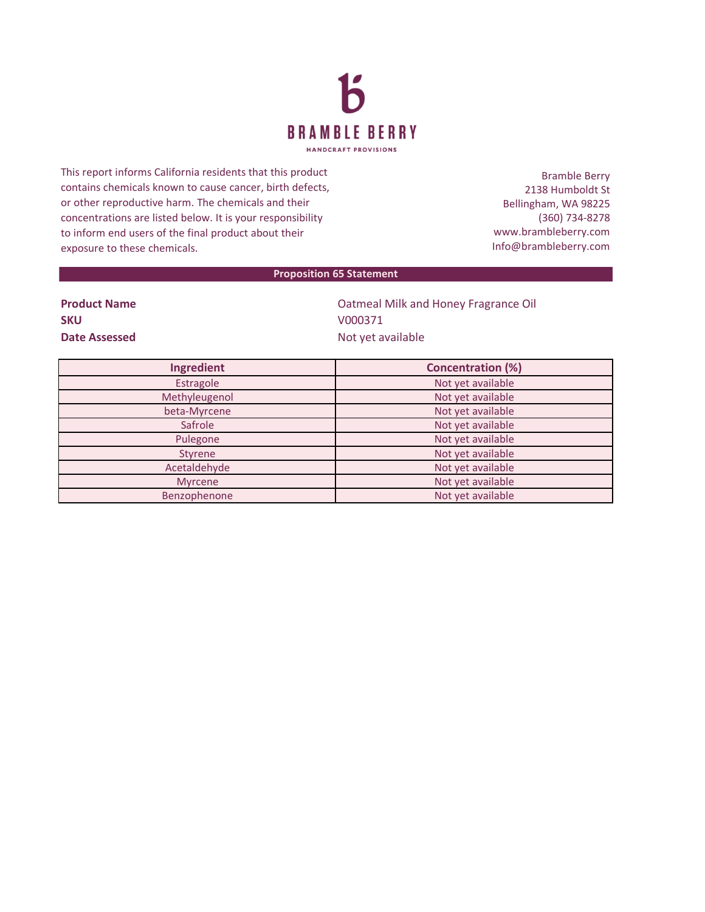

This report informs California residents that this product contains chemicals known to cause cancer, birth defects, or other reproductive harm. The chemicals and their concentrations are listed below. It is your responsibility to inform end users of the final product about their exposure to these chemicals.

Bramble Berry 2138 Humboldt St Bellingham, WA 98225 (360) 734-8278 www.brambleberry.com Info@brambleberry.com

## **Proposition 65 Statement**

| <b>Product Name</b> |  |
|---------------------|--|
| <b>SKU</b>          |  |
| Date Assessed       |  |

**Patmeal Milk and Honey Fragrance Oil SKU** V000371 **Date Assessed** Not yet available

| Ingredient     | <b>Concentration (%)</b> |
|----------------|--------------------------|
| Estragole      | Not yet available        |
| Methyleugenol  | Not yet available        |
| beta-Myrcene   | Not yet available        |
| Safrole        | Not yet available        |
| Pulegone       | Not yet available        |
| Styrene        | Not yet available        |
| Acetaldehyde   | Not yet available        |
| <b>Myrcene</b> | Not yet available        |
| Benzophenone   | Not yet available        |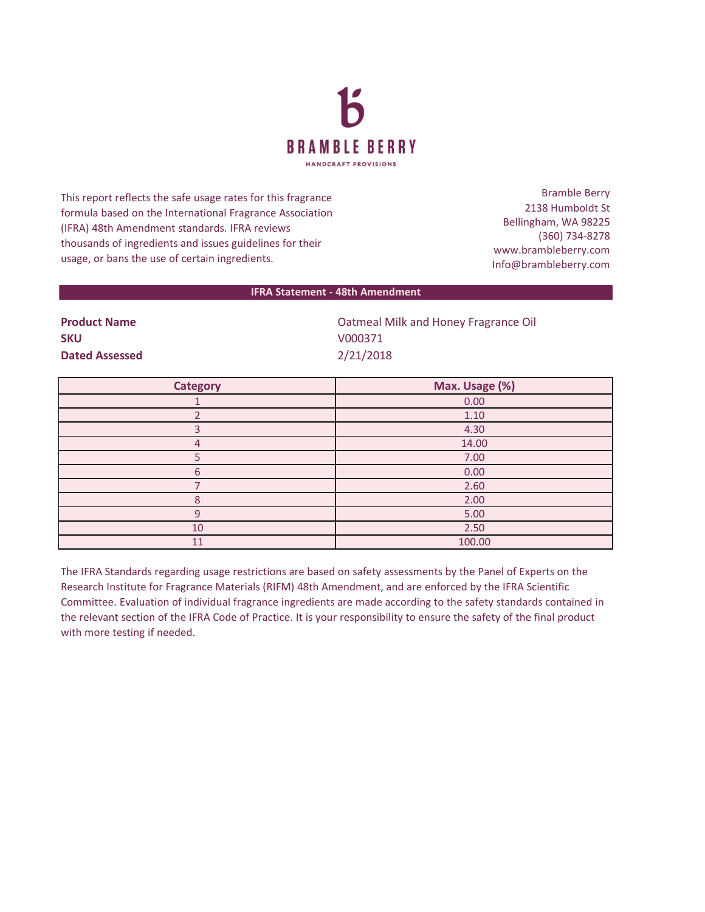

This report reflects the safe usage rates for this fragrance formula based on the International Fragrance Association (IFRA) 48th Amendment standards. IFRA reviews thousands of ingredients and issues guidelines for their usage, or bans the use of certain ingredients.

Bramble Berry 2138 Humboldt St Bellingham, WA 98225 (360) 734-8278 www.brambleberry.com Info@brambleberry.com

## **IFRA Statement - 48th Amendment**

**SKU** V000371 **Dated Assessed** 2/21/2018

**Product Name** Oatmeal Milk and Honey Fragrance Oil

| <b>Category</b> | Max. Usage (%) |
|-----------------|----------------|
|                 | 0.00           |
|                 | 1.10           |
|                 | 4.30           |
| 4               | 14.00          |
|                 | 7.00           |
| 6               | 0.00           |
|                 | 2.60           |
| 8               | 2.00           |
| 9               | 5.00           |
| 10              | 2.50           |
| 11              | 100.00         |

The IFRA Standards regarding usage restrictions are based on safety assessments by the Panel of Experts on the Research Institute for Fragrance Materials (RIFM) 48th Amendment, and are enforced by the IFRA Scientific Committee. Evaluation of individual fragrance ingredients are made according to the safety standards contained in the relevant section of the IFRA Code of Practice. It is your responsibility to ensure the safety of the final product with more testing if needed.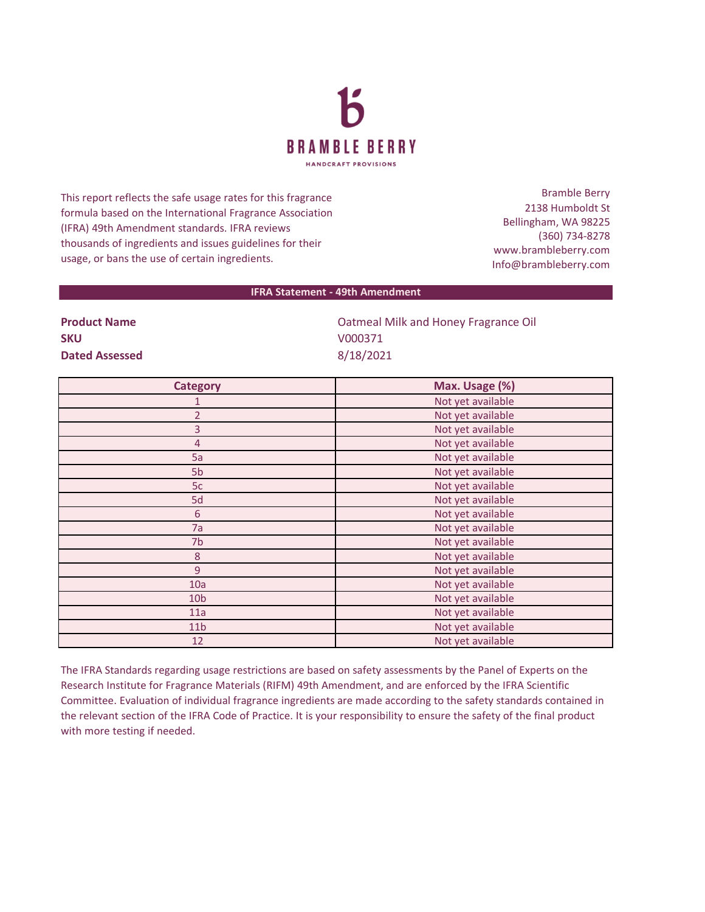

This report reflects the safe usage rates for this fragrance formula based on the International Fragrance Association (IFRA) 49th Amendment standards. IFRA reviews thousands of ingredients and issues guidelines for their usage, or bans the use of certain ingredients.

Bramble Berry 2138 Humboldt St Bellingham, WA 98225 (360) 734-8278 www.brambleberry.com Info@brambleberry.com

## **IFRA Statement - 49th Amendment**

**SKU** V000371 **Dated Assessed** 8/18/2021

**Product Name** Oatmeal Milk and Honey Fragrance Oil

| <b>Category</b>  | Max. Usage (%)    |
|------------------|-------------------|
| 1                | Not yet available |
| $\overline{2}$   | Not yet available |
| 3                | Not yet available |
| $\overline{4}$   | Not yet available |
| 5a               | Not yet available |
| 5 <sub>b</sub>   | Not yet available |
| 5c               | Not yet available |
| 5d               | Not yet available |
| $\sqrt{6}$       | Not yet available |
| 7a               | Not yet available |
| 7b               | Not yet available |
| $\boldsymbol{8}$ | Not yet available |
| $\overline{9}$   | Not yet available |
| 10a              | Not yet available |
| 10 <sub>b</sub>  | Not yet available |
| 11a              | Not yet available |
| 11 <sub>b</sub>  | Not yet available |
| 12               | Not yet available |

The IFRA Standards regarding usage restrictions are based on safety assessments by the Panel of Experts on the Research Institute for Fragrance Materials (RIFM) 49th Amendment, and are enforced by the IFRA Scientific Committee. Evaluation of individual fragrance ingredients are made according to the safety standards contained in the relevant section of the IFRA Code of Practice. It is your responsibility to ensure the safety of the final product with more testing if needed.